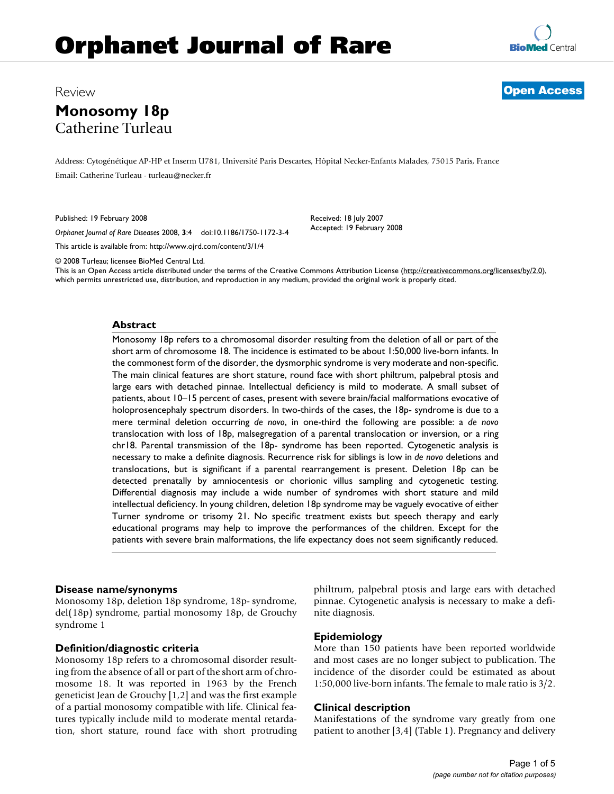# Review **[Open Access](http://www.biomedcentral.com/info/about/charter/) Monosomy 18p**

## Catherine Turleau

Address: Cytogénétique AP-HP et Inserm U781, Université Paris Descartes, Hôpital Necker-Enfants Malades, 75015 Paris, France Email: Catherine Turleau - turleau@necker.fr

Published: 19 February 2008

*Orphanet Journal of Rare Diseases* 2008, **3**:4 doi:10.1186/1750-1172-3-4

[This article is available from: http://www.ojrd.com/content/3/1/4](http://www.ojrd.com/content/3/1/4)

Received: 18 July 2007 Accepted: 19 February 2008

© 2008 Turleau; licensee BioMed Central Ltd.

This is an Open Access article distributed under the terms of the Creative Commons Attribution License [\(http://creativecommons.org/licenses/by/2.0\)](http://creativecommons.org/licenses/by/2.0), which permits unrestricted use, distribution, and reproduction in any medium, provided the original work is properly cited.

#### **Abstract**

Monosomy 18p refers to a chromosomal disorder resulting from the deletion of all or part of the short arm of chromosome 18. The incidence is estimated to be about 1:50,000 live-born infants. In the commonest form of the disorder, the dysmorphic syndrome is very moderate and non-specific. The main clinical features are short stature, round face with short philtrum, palpebral ptosis and large ears with detached pinnae. Intellectual deficiency is mild to moderate. A small subset of patients, about 10–15 percent of cases, present with severe brain/facial malformations evocative of holoprosencephaly spectrum disorders. In two-thirds of the cases, the 18p- syndrome is due to a mere terminal deletion occurring *de novo*, in one-third the following are possible: a *de novo* translocation with loss of 18p, malsegregation of a parental translocation or inversion, or a ring chr18. Parental transmission of the 18p- syndrome has been reported. Cytogenetic analysis is necessary to make a definite diagnosis. Recurrence risk for siblings is low in *de novo* deletions and translocations, but is significant if a parental rearrangement is present. Deletion 18p can be detected prenatally by amniocentesis or chorionic villus sampling and cytogenetic testing. Differential diagnosis may include a wide number of syndromes with short stature and mild intellectual deficiency. In young children, deletion 18p syndrome may be vaguely evocative of either Turner syndrome or trisomy 21. No specific treatment exists but speech therapy and early educational programs may help to improve the performances of the children. Except for the patients with severe brain malformations, the life expectancy does not seem significantly reduced.

## **Disease name/synonyms**

Monosomy 18p, deletion 18p syndrome, 18p- syndrome, del(18p) syndrome, partial monosomy 18p, de Grouchy syndrome 1

## **Definition/diagnostic criteria**

Monosomy 18p refers to a chromosomal disorder resulting from the absence of all or part of the short arm of chromosome 18. It was reported in 1963 by the French geneticist Jean de Grouchy [1,2] and was the first example of a partial monosomy compatible with life. Clinical features typically include mild to moderate mental retardation, short stature, round face with short protruding philtrum, palpebral ptosis and large ears with detached pinnae. Cytogenetic analysis is necessary to make a definite diagnosis.

## **Epidemiology**

More than 150 patients have been reported worldwide and most cases are no longer subject to publication. The incidence of the disorder could be estimated as about 1:50,000 live-born infants. The female to male ratio is 3/2.

## **Clinical description**

Manifestations of the syndrome vary greatly from one patient to another [3,4] (Table 1). Pregnancy and delivery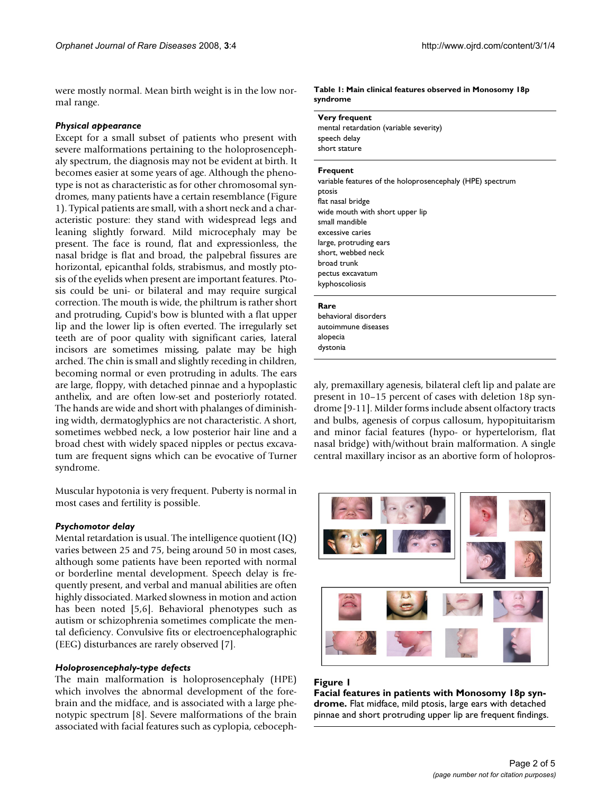were mostly normal. Mean birth weight is in the low normal range.

#### *Physical appearance*

Except for a small subset of patients who present with severe malformations pertaining to the holoprosencephaly spectrum, the diagnosis may not be evident at birth. It becomes easier at some years of age. Although the phenotype is not as characteristic as for other chromosomal syndromes, many patients have a certain resemblance (Figure 1). Typical patients are small, with a short neck and a characteristic posture: they stand with widespread legs and leaning slightly forward. Mild microcephaly may be present. The face is round, flat and expressionless, the nasal bridge is flat and broad, the palpebral fissures are horizontal, epicanthal folds, strabismus, and mostly ptosis of the eyelids when present are important features. Ptosis could be uni- or bilateral and may require surgical correction. The mouth is wide, the philtrum is rather short and protruding, Cupid's bow is blunted with a flat upper lip and the lower lip is often everted. The irregularly set teeth are of poor quality with significant caries, lateral incisors are sometimes missing, palate may be high arched. The chin is small and slightly receding in children, becoming normal or even protruding in adults. The ears are large, floppy, with detached pinnae and a hypoplastic anthelix, and are often low-set and posteriorly rotated. The hands are wide and short with phalanges of diminishing width, dermatoglyphics are not characteristic. A short, sometimes webbed neck, a low posterior hair line and a broad chest with widely spaced nipples or pectus excavatum are frequent signs which can be evocative of Turner syndrome.

Muscular hypotonia is very frequent. Puberty is normal in most cases and fertility is possible.

#### *Psychomotor delay*

Mental retardation is usual. The intelligence quotient (IQ) varies between 25 and 75, being around 50 in most cases, although some patients have been reported with normal or borderline mental development. Speech delay is frequently present, and verbal and manual abilities are often highly dissociated. Marked slowness in motion and action has been noted [5,6]. Behavioral phenotypes such as autism or schizophrenia sometimes complicate the mental deficiency. Convulsive fits or electroencephalographic (EEG) disturbances are rarely observed [7].

#### *Holoprosencephaly-type defects*

The main malformation is holoprosencephaly (HPE) which involves the abnormal development of the forebrain and the midface, and is associated with a large phenotypic spectrum [8]. Severe malformations of the brain associated with facial features such as cyplopia, ceboceph**Table 1: Main clinical features observed in Monosomy 18p syndrome**

#### **Very frequent**

mental retardation (variable severity) speech delay short stature

#### **Frequent**

variable features of the holoprosencephaly (HPE) spectrum ptosis flat nasal bridge wide mouth with short upper lip small mandible excessive caries large, protruding ears short, webbed neck broad trunk pectus excavatum kyphoscoliosis

#### **Rare**

behavioral disorders autoimmune diseases alopecia dystonia

aly, premaxillary agenesis, bilateral cleft lip and palate are present in 10–15 percent of cases with deletion 18p syndrome [9-11]. Milder forms include absent olfactory tracts and bulbs, agenesis of corpus callosum, hypopituitarism and minor facial features (hypo- or hypertelorism, flat nasal bridge) with/without brain malformation. A single central maxillary incisor as an abortive form of holopros-



#### Figure 1

**Facial features in patients with Monosomy 18p syndrome.** Flat midface, mild ptosis, large ears with detached pinnae and short protruding upper lip are frequent findings.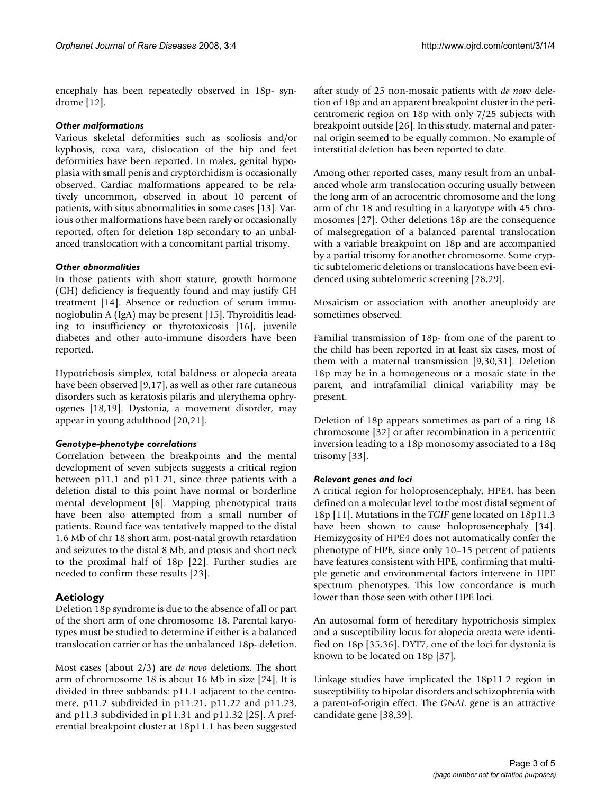encephaly has been repeatedly observed in 18p- syndrome [12].

## *Other malformations*

Various skeletal deformities such as scoliosis and/or kyphosis, coxa vara, dislocation of the hip and feet deformities have been reported. In males, genital hypoplasia with small penis and cryptorchidism is occasionally observed. Cardiac malformations appeared to be relatively uncommon, observed in about 10 percent of patients, with situs abnormalities in some cases [13]. Various other malformations have been rarely or occasionally reported, often for deletion 18p secondary to an unbalanced translocation with a concomitant partial trisomy.

## *Other abnormalities*

In those patients with short stature, growth hormone (GH) deficiency is frequently found and may justify GH treatment [14]. Absence or reduction of serum immunoglobulin A (IgA) may be present [15]. Thyroiditis leading to insufficiency or thyrotoxicosis [16], juvenile diabetes and other auto-immune disorders have been reported.

Hypotrichosis simplex, total baldness or alopecia areata have been observed [9,17], as well as other rare cutaneous disorders such as keratosis pilaris and ulerythema ophryogenes [18,19]. Dystonia, a movement disorder, may appear in young adulthood [20,21].

## *Genotype-phenotype correlations*

Correlation between the breakpoints and the mental development of seven subjects suggests a critical region between p11.1 and p11.21, since three patients with a deletion distal to this point have normal or borderline mental development [6]. Mapping phenotypical traits have been also attempted from a small number of patients. Round face was tentatively mapped to the distal 1.6 Mb of chr 18 short arm, post-natal growth retardation and seizures to the distal 8 Mb, and ptosis and short neck to the proximal half of 18p [22]. Further studies are needed to confirm these results [23].

## **Aetiology**

Deletion 18p syndrome is due to the absence of all or part of the short arm of one chromosome 18. Parental karyotypes must be studied to determine if either is a balanced translocation carrier or has the unbalanced 18p- deletion.

Most cases (about 2/3) are *de novo* deletions. The short arm of chromosome 18 is about 16 Mb in size [24]. It is divided in three subbands: p11.1 adjacent to the centromere, p11.2 subdivided in p11.21, p11.22 and p11.23, and p11.3 subdivided in p11.31 and p11.32 [25]. A preferential breakpoint cluster at 18p11.1 has been suggested after study of 25 non-mosaic patients with *de novo* deletion of 18p and an apparent breakpoint cluster in the pericentromeric region on 18p with only 7/25 subjects with breakpoint outside [26]. In this study, maternal and paternal origin seemed to be equally common. No example of interstitial deletion has been reported to date.

Among other reported cases, many result from an unbalanced whole arm translocation occuring usually between the long arm of an acrocentric chromosome and the long arm of chr 18 and resulting in a karyotype with 45 chromosomes [27]. Other deletions 18p are the consequence of malsegregation of a balanced parental translocation with a variable breakpoint on 18p and are accompanied by a partial trisomy for another chromosome. Some cryptic subtelomeric deletions or translocations have been evidenced using subtelomeric screening [28,29].

Mosaicism or association with another aneuploidy are sometimes observed.

Familial transmission of 18p- from one of the parent to the child has been reported in at least six cases, most of them with a maternal transmission [9,30,31]. Deletion 18p may be in a homogeneous or a mosaic state in the parent, and intrafamilial clinical variability may be present.

Deletion of 18p appears sometimes as part of a ring 18 chromosome [32] or after recombination in a pericentric inversion leading to a 18p monosomy associated to a 18q trisomy [33].

## *Relevant genes and loci*

A critical region for holoprosencephaly, HPE4, has been defined on a molecular level to the most distal segment of 18p [11]. Mutations in the *TGIF* gene located on 18p11.3 have been shown to cause holoprosencephaly [34]. Hemizygosity of HPE4 does not automatically confer the phenotype of HPE, since only 10–15 percent of patients have features consistent with HPE, confirming that multiple genetic and environmental factors intervene in HPE spectrum phenotypes. This low concordance is much lower than those seen with other HPE loci.

An autosomal form of hereditary hypotrichosis simplex and a susceptibility locus for alopecia areata were identified on 18p [35,36]. DYT7, one of the loci for dystonia is known to be located on 18p [37].

Linkage studies have implicated the 18p11.2 region in susceptibility to bipolar disorders and schizophrenia with a parent-of-origin effect. The *GNAL* gene is an attractive candidate gene [38,39].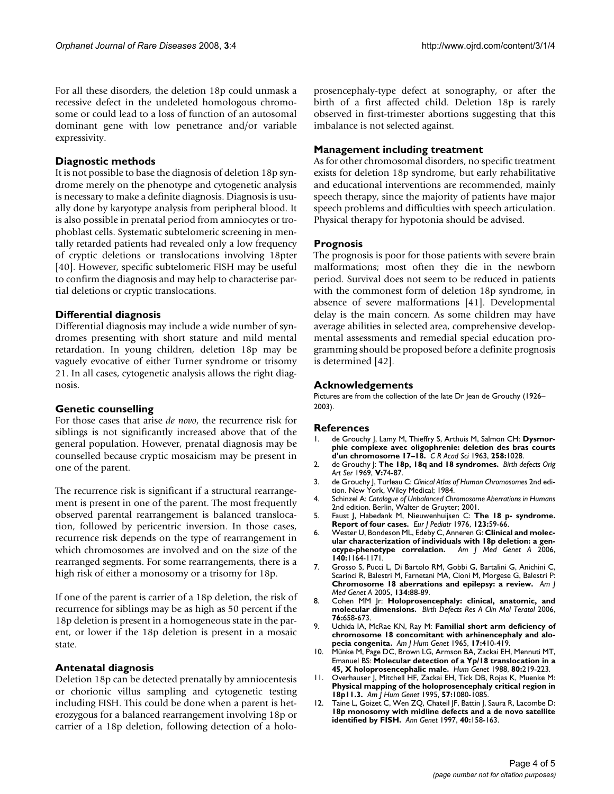For all these disorders, the deletion 18p could unmask a recessive defect in the undeleted homologous chromosome or could lead to a loss of function of an autosomal dominant gene with low penetrance and/or variable expressivity.

## **Diagnostic methods**

It is not possible to base the diagnosis of deletion 18p syndrome merely on the phenotype and cytogenetic analysis is necessary to make a definite diagnosis. Diagnosis is usually done by karyotype analysis from peripheral blood. It is also possible in prenatal period from amniocytes or trophoblast cells. Systematic subtelomeric screening in mentally retarded patients had revealed only a low frequency of cryptic deletions or translocations involving 18pter [40]. However, specific subtelomeric FISH may be useful to confirm the diagnosis and may help to characterise partial deletions or cryptic translocations.

## **Differential diagnosis**

Differential diagnosis may include a wide number of syndromes presenting with short stature and mild mental retardation. In young children, deletion 18p may be vaguely evocative of either Turner syndrome or trisomy 21. In all cases, cytogenetic analysis allows the right diagnosis.

#### **Genetic counselling**

For those cases that arise *de novo*, the recurrence risk for siblings is not significantly increased above that of the general population. However, prenatal diagnosis may be counselled because cryptic mosaicism may be present in one of the parent.

The recurrence risk is significant if a structural rearrangement is present in one of the parent. The most frequently observed parental rearrangement is balanced translocation, followed by pericentric inversion. In those cases, recurrence risk depends on the type of rearrangement in which chromosomes are involved and on the size of the rearranged segments. For some rearrangements, there is a high risk of either a monosomy or a trisomy for 18p.

If one of the parent is carrier of a 18p deletion, the risk of recurrence for siblings may be as high as 50 percent if the 18p deletion is present in a homogeneous state in the parent, or lower if the 18p deletion is present in a mosaic state.

## **Antenatal diagnosis**

Deletion 18p can be detected prenatally by amniocentesis or chorionic villus sampling and cytogenetic testing including FISH. This could be done when a parent is heterozygous for a balanced rearrangement involving 18p or carrier of a 18p deletion, following detection of a holoprosencephaly-type defect at sonography, or after the birth of a first affected child. Deletion 18p is rarely observed in first-trimester abortions suggesting that this imbalance is not selected against.

#### **Management including treatment**

As for other chromosomal disorders, no specific treatment exists for deletion 18p syndrome, but early rehabilitative and educational interventions are recommended, mainly speech therapy, since the majority of patients have major speech problems and difficulties with speech articulation. Physical therapy for hypotonia should be advised.

#### **Prognosis**

The prognosis is poor for those patients with severe brain malformations; most often they die in the newborn period. Survival does not seem to be reduced in patients with the commonest form of deletion 18p syndrome, in absence of severe malformations [41]. Developmental delay is the main concern. As some children may have average abilities in selected area, comprehensive developmental assessments and remedial special education programming should be proposed before a definite prognosis is determined [42].

#### **Acknowledgements**

Pictures are from the collection of the late Dr Jean de Grouchy (1926– 2003).

#### **References**

- 1. de Grouchy J, Lamy M, Thieffry S, Arthuis M, Salmon CH: **Dysmorphie complexe avec oligophrenie: deletion des bras courts d'un chromosome 17–18.** *C R Acad Sci* 1963, **258:**1028.
- 2. de Grouchy J: **The 18p, 18q and 18 syndromes.** *Birth defects Orig Art Ser* 1969, **V:**74-87.
- 3. de Grouchy J, Turleau C: *Clinical Atlas of Human Chromosomes* 2nd edition. New York, Wiley Medical; 1984.
- 4. Schinzel A: *Catalogue of Unbalanced Chromosome Aberrations in Humans* 2nd edition. Berlin, Walter de Gruyter; 2001.
- 5. Faust J, Habedank M, Nieuwenhuijsen C: **[The 18 p- syndrome.](http://www.ncbi.nlm.nih.gov/entrez/query.fcgi?cmd=Retrieve&db=PubMed&dopt=Abstract&list_uids=954771) [Report of four cases.](http://www.ncbi.nlm.nih.gov/entrez/query.fcgi?cmd=Retrieve&db=PubMed&dopt=Abstract&list_uids=954771)** *Eur J Pediatr* 1976, **123:**59-66.
- 6. Wester U, Bondeson ML, Edeby C, Anneren G: **[Clinical and molec](http://www.ncbi.nlm.nih.gov/entrez/query.fcgi?cmd=Retrieve&db=PubMed&dopt=Abstract&list_uids=16691587)[ular characterization of individuals with 18p deletion: a gen](http://www.ncbi.nlm.nih.gov/entrez/query.fcgi?cmd=Retrieve&db=PubMed&dopt=Abstract&list_uids=16691587)[otype-phenotype correlation.](http://www.ncbi.nlm.nih.gov/entrez/query.fcgi?cmd=Retrieve&db=PubMed&dopt=Abstract&list_uids=16691587)** *Am J Med Genet A* 2006, **140:**1164-1171.
- 7. Grosso S, Pucci L, Di Bartolo RM, Gobbi G, Bartalini G, Anichini C, Scarinci R, Balestri M, Farnetani MA, Cioni M, Morgese G, Balestri P: **[Chromosome 18 aberrations and epilepsy: a review.](http://www.ncbi.nlm.nih.gov/entrez/query.fcgi?cmd=Retrieve&db=PubMed&dopt=Abstract&list_uids=15690352)** *Am J Med Genet A* 2005, **134:**88-89.
- 8. Cohen MM Jr: **[Holoprosencephaly: clinical, anatomic, and](http://www.ncbi.nlm.nih.gov/entrez/query.fcgi?cmd=Retrieve&db=PubMed&dopt=Abstract&list_uids=17001700) [molecular dimensions.](http://www.ncbi.nlm.nih.gov/entrez/query.fcgi?cmd=Retrieve&db=PubMed&dopt=Abstract&list_uids=17001700)** *Birth Defects Res A Clin Mol Teratol* 2006, **76:**658-673.
- 9. Uchida IA, McRae KN, Ray M: **[Familial short arm deficiency of](http://www.ncbi.nlm.nih.gov/entrez/query.fcgi?cmd=Retrieve&db=PubMed&dopt=Abstract&list_uids=14334740) [chromosome 18 concomitant with arhinencephaly and alo](http://www.ncbi.nlm.nih.gov/entrez/query.fcgi?cmd=Retrieve&db=PubMed&dopt=Abstract&list_uids=14334740)[pecia congenita.](http://www.ncbi.nlm.nih.gov/entrez/query.fcgi?cmd=Retrieve&db=PubMed&dopt=Abstract&list_uids=14334740)** *Am J Hum Genet* 1965, **17:**410-419.
- 10. Münke M, Page DC, Brown LG, Armson BA, Zackai EH, Mennuti MT, Emanuel BS: **[Molecular detection of a Yp/18 translocation in a](http://www.ncbi.nlm.nih.gov/entrez/query.fcgi?cmd=Retrieve&db=PubMed&dopt=Abstract&list_uids=3192211) [45, X holoprosencephalic male.](http://www.ncbi.nlm.nih.gov/entrez/query.fcgi?cmd=Retrieve&db=PubMed&dopt=Abstract&list_uids=3192211)** *Hum Genet* 1988, **80:**219-223.
- 11. Overhauser J, Mitchell HF, Zackai EH, Tick DB, Rojas K, Muenke M: **[Physical mapping of the holoprosencephaly critical region in](http://www.ncbi.nlm.nih.gov/entrez/query.fcgi?cmd=Retrieve&db=PubMed&dopt=Abstract&list_uids=7485158) [18p11.3.](http://www.ncbi.nlm.nih.gov/entrez/query.fcgi?cmd=Retrieve&db=PubMed&dopt=Abstract&list_uids=7485158)** *Am J Hum Genet* 1995, **57:**1080-1085.
- 12. Taine L, Goizet C, Wen ZQ, Chateil JF, Battin J, Saura R, Lacombe D: **[18p monosomy with midline defects and a de novo satellite](http://www.ncbi.nlm.nih.gov/entrez/query.fcgi?cmd=Retrieve&db=PubMed&dopt=Abstract&list_uids=9401105) [identified by FISH.](http://www.ncbi.nlm.nih.gov/entrez/query.fcgi?cmd=Retrieve&db=PubMed&dopt=Abstract&list_uids=9401105)** *Ann Genet* 1997, **40:**158-163.